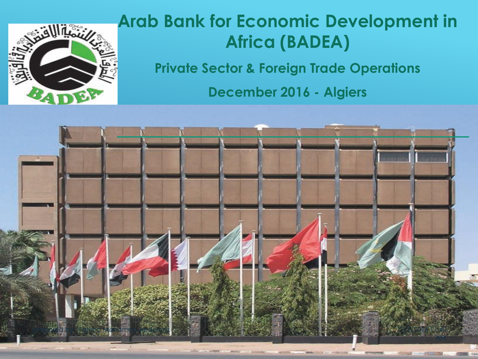

### **Arab Bank for Economic Development in Africa (BADEA)**

**Private Sector & Foreign Trade Operations**

**December 2016 - Algiers**

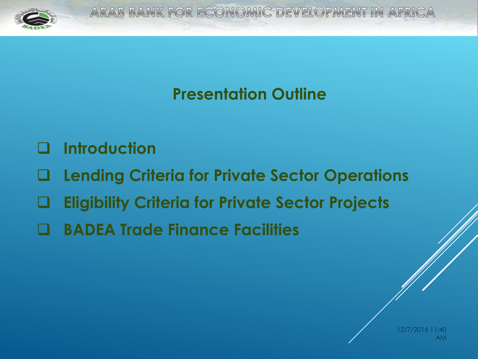

### **Presentation Outline**

- **Introduction**
- **Lending Criteria for Private Sector Operations**
- **Eligibility Criteria for Private Sector Projects**
- **BADEA Trade Finance Facilities**

12/7/2016 11:40 AM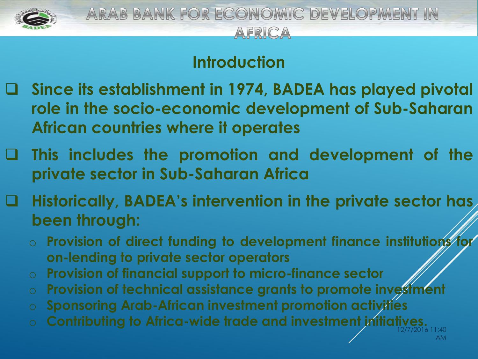

### **Introduction**

- **Since its establishment in 1974, BADEA has played pivotal role in the socio-economic development of Sub-Saharan African countries where it operates**
- **This includes the promotion and development of the private sector in Sub-Saharan Africa**
- **Historically, BADEA's intervention in the private sector has been through:**
	- o **Provision of direct funding to development finance institutions for on-lending to private sector operators**
	- o **Provision of financial support to micro-finance sector**
	- o **Provision of technical assistance grants to promote investment**
	- o **Sponsoring Arab-African investment promotion activities**
	- 12/7/2016 11:40 o **Contributing to Africa-wide trade and investment initiatives.**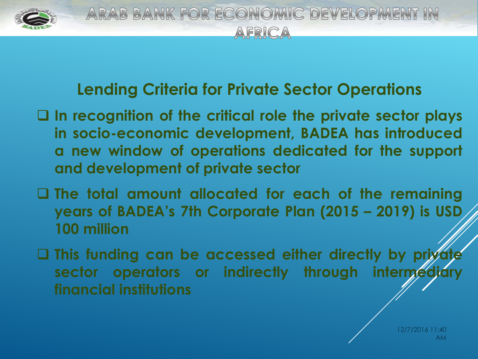

### **Lending Criteria for Private Sector Operations**

- **In recognition of the critical role the private sector plays in socio-economic development, BADEA has introduced a new window of operations dedicated for the support and development of private sector**
- **The total amount allocated for each of the remaining years of BADEA's 7th Corporate Plan (2015 – 2019) is USD 100 million**
- $\Box$  **This funding can be accessed either directly by private sector operators** or **indirectly through intermed financial institutions**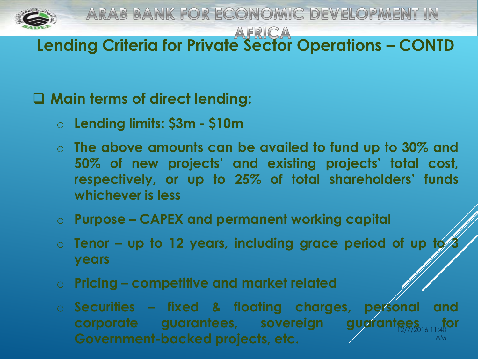

ARAB BANK FOR ECONOMIC DEVELOPMENT IN

**Lending Criteria for Private Sector Operations – CONTD**

#### **Main terms of direct lending:**

- o **Lending limits: \$3m - \$10m**
- o **The above amounts can be availed to fund up to 30% and 50% of new projects' and existing projects' total cost, respectively, or up to 25% of total shareholders' funds whichever is less**
- o **Purpose – CAPEX and permanent working capital**
- o **Tenor – up to 12 years, including grace period of up to 3 years**
- o **Pricing – competitive and market related**
- 12/7/2016 11:40 AM o **Securities – fixed & floating charges, personal and corporate guarantees, sovereign guarantees Government-backed projects, etc.**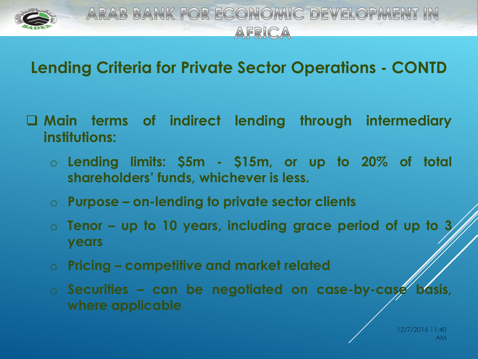

### **Lending Criteria for Private Sector Operations - CONTD**

- **Main terms of indirect lending through intermediary institutions:**
	- o **Lending limits: \$5m - \$15m, or up to 20% of total shareholders' funds, whichever is less.**
	- o **Purpose – on-lending to private sector clients**
	- o **Tenor – up to 10 years, including grace period of up to 3 years**
	- o **Pricing – competitive and market related**
	- o **Securities – can be negotiated on case-by-case basis, where applicable**

12/7/2016 11:40 AM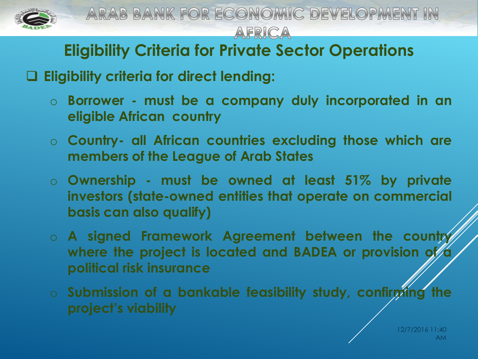

ARAB BANK FOR ECONOMIC DEVELOPMENT IN AFRICA

### **Eligibility Criteria for Private Sector Operations**

**Eligibility criteria for direct lending:**

- o **Borrower - must be a company duly incorporated in an eligible African country**
- o **Country- all African countries excluding those which are members of the League of Arab States**
- o **Ownership - must be owned at least 51% by private investors (state-owned entities that operate on commercial basis can also qualify)**
- o **A signed Framework Agreement between the country where the project is located and BADEA or provision of a political risk insurance**
- o **Submission of a bankable feasibility study, confirming the project's viability**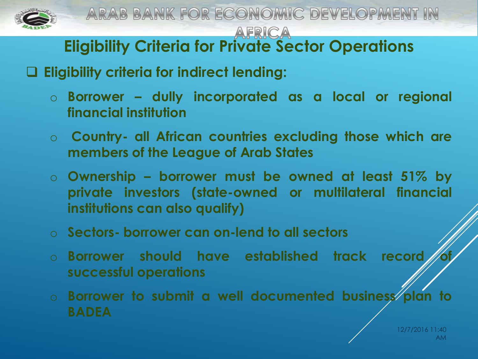

# **Eligibility Criteria for Private Sector Operations**

### **Eligibility criteria for indirect lending:**

- o **Borrower – dully incorporated as a local or regional financial institution**
- o **Country- all African countries excluding those which are members of the League of Arab States**
- o **Ownership – borrower must be owned at least 51% by private investors (state-owned or multilateral financial institutions can also qualify)**
- o **Sectors- borrower can on-lend to all sectors**
- o **Borrower should have established track record of successful operations**
- o **Borrower to submit a well documented business plan to BADEA**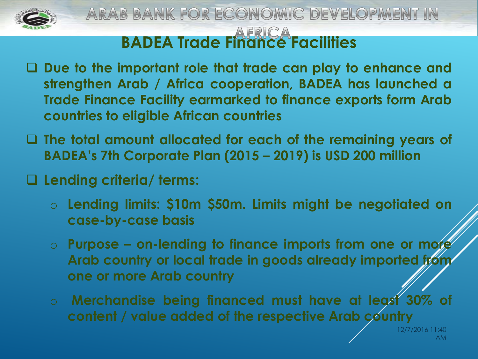

### **BADEA Trade Finance Facilities**

- **Due to the important role that trade can play to enhance and strengthen Arab / Africa cooperation, BADEA has launched a Trade Finance Facility earmarked to finance exports form Arab countries to eligible African countries**
- **The total amount allocated for each of the remaining years of BADEA's 7th Corporate Plan (2015 – 2019) is USD 200 million**
- **Lending criteria/ terms:**
	- o **Lending limits: \$10m \$50m. Limits might be negotiated on case-by-case basis**
	- o **Purpose – on-lending to finance imports from one or more Arab country or local trade in goods already imported from one or more Arab country**
	- o **Merchandise being financed must have at least 30% of content / value added of the respective Arab country**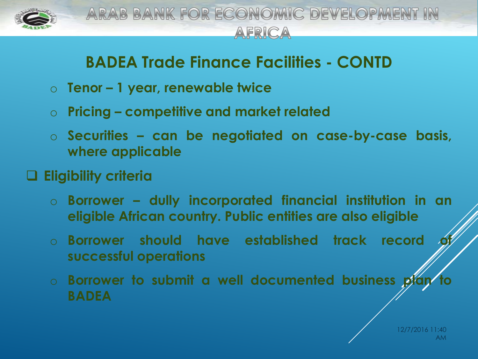

### **BADEA Trade Finance Facilities - CONTD**

- o **Tenor – 1 year, renewable twice**
- o **Pricing – competitive and market related**
- o **Securities – can be negotiated on case-by-case basis, where applicable**

### **Eligibility criteria**

- o **Borrower – dully incorporated financial institution in an eligible African country. Public entities are also eligible**
- o **Borrower should have established track record of successful operations**
- o **Borrower to submit a well documented business plan to BADEA**

12/7/2016 11:40 AM